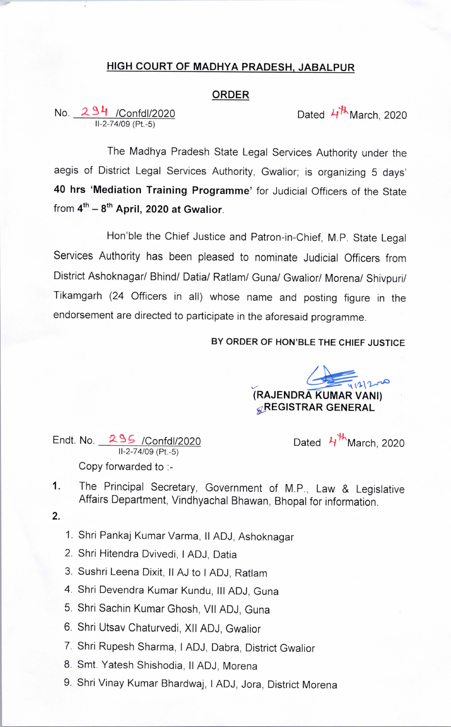## HIGH COURT OF MADHYA PRADESH. JABALPUR

## ORDER

No. 294 /Confdl/2020 11-2-74/09 (Pt.-5)

Dated  $4^{\frac{1}{2}}$ March, 2020

The Madhya Pradesh State Legal Services Authority under the aegis of District Legal Services Authority, Gwalior; is organizing 5 days' 40 hrs 'Mediation Training Programme' for Judicial Officers of the State from  $4^{th} - 8^{th}$  April, 2020 at Gwalior.

Hon'ble the Chief Justice and Patron-in-Chief, M.P. State Legal Services Authority has been pleased to nominate Judicial Officers from District Ashoknagar/ Bhind/ Datia/ Ratlam/ Guna/ Gwalior/ Morena/ Shivpuri/ Tikamgarh (24 Officers in all) whose name and posting figure in the endorsement are directed to participate in the aforesaid programme.

## BY ORDER OF HON'BLE THE CHIEF JUSTICE

**RAJENDRA KUMAR VANI) GREGISTRAR GENERAL** 

Endt. No.  $295$  /Confdl/2020 Dated  $4^{\frac{11}{10}}$ March, 2020 11-2-74/09 (Pt.-5) Copy forwarded to :-

- 
- The Principal Secretary, Government of M.P., Law & Legislative 1. Affairs Department, Vindhyachal Bhawan, Bhopal for information.
- $2.$
- 1. Shri Pankaj Kumar Varma, II ADJ, Ashoknagar
- 2. Shri Hitendra Dvivedi, I ADJ, Datia
- 3. Sushri Leena Dixit, II AJ to I ADJ, Ratlam
- 4. Shri Devendra Kumar Kundu, III ADJ, Guna
- 5. Shri Sachin Kumar Ghosh, VII ADJ, Guna
- 6. Shri Utsav Chaturvedi, Xll ADJ, Gwalior
- 7. Shri Rupesh Sharma, I ADJ, Dabra, District Gwalior
- 8. Smt. Yatesh Shishodia, II ADJ, Morena
- 9. Shri Vinay Kumar Bhardwaj, I ADJ, Jora, District Morena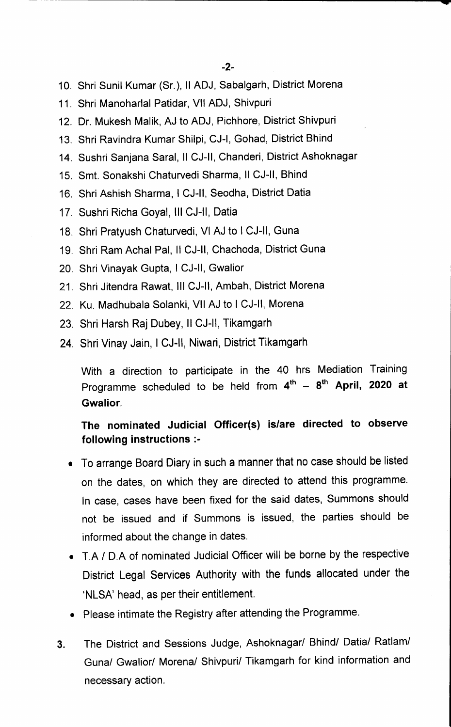- 10. Shri Sunil Kumar (Sr.), Il ADJ, Sabalgarh, District Morena
- 11. Shri Manoharlal Patidar, Vll ADJ, Shivpuri
- 12. Dr. Mukesh Malik, AJ to ADJ, Pichhore, District Shivpuri
- 13. Shri Ravindra Kumar Shilpi, CJ-I, Gohad, District Bhind
- 14. Sushri Sanjana Saral, II CJ-II, Chanderi, District Ashoknagar
- 15. Smt. Sonakshi Chaturvedi Sharma, Il CJ-II, Bhind
- 16. Shri Ashish Sharma, I CJ-II, Seodha, District Datia
- 17. Sushri Richa Goyal, III CJ-II, Datia
- 18. Shri Pratyush Chaturvedi, VI AJ to I CJ-Il, Guna
- 19. Shri Ram Achal Pal, II CJ-II, Chachoda, District Guna
- 20. Shri Vinayak Gupta, I CJ-ll, Gwalior
- 21. Shri Jitendra Rawat, III CJ-II, Ambah, District Morena
- 22. Ku. Madhubala Solanki, Vll AJ to I CJ-ll, Morena
- 23. Shri Harsh Raj Dubey, Il CJ-II, Tikamgarh
- 24. Shri Vinay Jain, I CJ-ll, Niwari, District Tikamgarh

With a direction to participate in the 40 hrs Mediation Training Programme scheduled to be held from  $4^{th}$  -  $8^{th}$  April, 2020 at Gwalior.

## The nominated Judicial Officer(s) is/are directed to observe following instructions :-

- To arrange Board Diary in such a manner that no case should be listed on the dates, on which they are directed to attend this programme. In case, cases have been fixed for the said dates, Summons should not be issued and if Summons is issued, the parties should be informed about the change in dates.
- T.A / D.A of nominated Judicial Officer will be borne by the respective District Legal Services Authority with the funds allocated under the `NLSA' head, as per their entitlement.
- Please intimate the Registry after attending the Programme.
- 3. The District and Sessions Judge, Ashoknagar/ Bhind/ Datia/ Ratlam/ Guna/ Gwalior/ Morena/ Shivpuri/ Tikamgarh for kind information and necessary action.